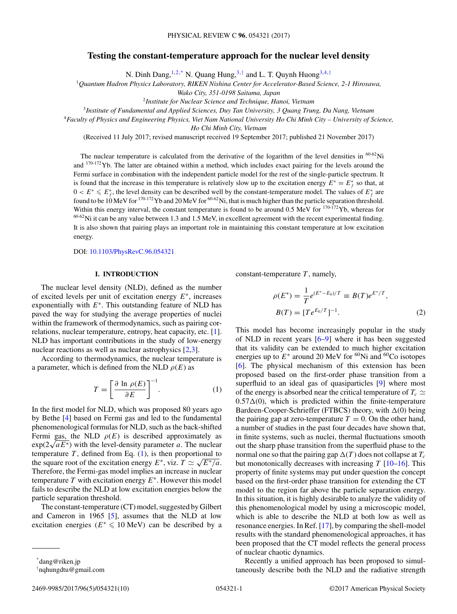# <span id="page-0-0"></span>**Testing the constant-temperature approach for the nuclear level density**

N. Dinh Dang,  $1,2,*$  N. Quang Hung,  $3,†$  and L. T. Quynh Huong  $3,4,†$ 

<sup>1</sup>*Quantum Hadron Physics Laboratory, RIKEN Nishina Center for Accelerator-Based Science, 2-1 Hirosawa,*

*Wako City, 351-0198 Saitama, Japan*

<sup>2</sup>*Institute for Nuclear Science and Technique, Hanoi, Vietnam*

<sup>3</sup>*Institute of Fundamental and Applied Sciences, Duy Tan University, 3 Quang Trung, Da Nang, Vietnam*

<sup>4</sup>*Faculty of Physics and Engineering Physics, Viet Nam National University Ho Chi Minh City – University of Science,*

*Ho Chi Minh City, Vietnam*

(Received 11 July 2017; revised manuscript received 19 September 2017; published 21 November 2017)

The nuclear temperature is calculated from the derivative of the logarithm of the level densities in  $^{60-62}$ Ni and <sup>170-172</sup>Yb. The latter are obtained within a method, which includes exact pairing for the levels around the Fermi surface in combination with the independent particle model for the rest of the single-particle spectrum. It is found that the increase in this temperature is relatively slow up to the excitation energy  $E^* = E_f^*$  so that, at  $0 < E^* \leq E_f^*$ , the level density can be described well by the constant-temperature model. The values of  $E_f^*$  are found to be 10 MeV for  $170-172$  Yb and 20 MeV for  $60-62$  Ni, that is much higher than the particle separation threshold. Within this energy interval, the constant temperature is found to be around 0.5 MeV for <sup>170-172</sup>Yb, whereas for  $60-62$ Ni it can be any value between 1.3 and 1.5 MeV, in excellent agreement with the recent experimental finding. It is also shown that pairing plays an important role in maintaining this constant temperature at low excitation energy.

DOI: [10.1103/PhysRevC.96.054321](https://doi.org/10.1103/PhysRevC.96.054321)

### **I. INTRODUCTION**

The nuclear level density (NLD), defined as the number of excited levels per unit of excitation energy  $E^*$ , increases exponentially with  $E^*$ . This outstanding feature of NLD has paved the way for studying the average properties of nuclei within the framework of thermodynamics, such as pairing correlations, nuclear temperature, entropy, heat capacity, etc. [\[1\]](#page-8-0). NLD has important contributions in the study of low-energy nuclear reactions as well as nuclear astrophysics [\[2,3\]](#page-8-0).

According to thermodynamics, the nuclear temperature is a parameter, which is defined from the NLD  $\rho(E)$  as

$$
T = \left[\frac{\partial \ln \rho(E)}{\partial E}\right]^{-1}.\tag{1}
$$

In the first model for NLD, which was proposed 80 years ago by Bethe [\[4\]](#page-8-0) based on Fermi gas and led to the fundamental phenomenological formulas for NLD, such as the back-shifted Fermi gas, the NLD  $\rho(E)$  is described approximately as  $\exp(2\sqrt{aE^*})$  with the level-density parameter a. The nuclear temperature  $T$ , defined from Eq. (1), is then proportional to the square root of the excitation energy  $E^*$ , viz.  $T \simeq \sqrt{E^* / a}$ . Therefore, the Fermi-gas model implies an increase in nuclear temperature T with excitation energy  $E^*$ . However this model fails to describe the NLD at low excitation energies below the particle separation threshold.

The constant-temperature (CT) model, suggested by Gilbert and Cameron in 1965 [\[5\]](#page-8-0), assumes that the NLD at low excitation energies ( $E^* \le 10$  MeV) can be described by a

$$
\rho(E^*) = \frac{1}{T} e^{(E^* - E_0)/T} \equiv B(T)e^{E^*/T},
$$
  
\n
$$
B(T) = [Te^{E_0/T}]^{-1}.
$$
\n(2)

constant-temperature  $T$ , namely,

This model has become increasingly popular in the study of NLD in recent years [\[6–9\]](#page-8-0) where it has been suggested that its validity can be extended to much higher excitation energies up to  $E^*$  around 20 MeV for <sup>60</sup>Ni and <sup>60</sup>Co isotopes [\[6\]](#page-8-0). The physical mechanism of this extension has been proposed based on the first-order phase transition from a superfluid to an ideal gas of quasiparticles [\[9\]](#page-8-0) where most of the energy is absorbed near the critical temperature of  $T_c \simeq$  $0.57\Delta(0)$ , which is predicted within the finite-temperature Bardeen-Cooper-Schrieffer (FTBCS) theory, with  $\Delta(0)$  being the pairing gap at zero-temperature  $T = 0$ . On the other hand, a number of studies in the past four decades have shown that, in finite systems, such as nuclei, thermal fluctuations smooth out the sharp phase transition from the superfluid phase to the normal one so that the pairing gap  $\Delta(T)$  does not collapse at  $T_c$ but monotonically decreases with increasing  $T$  [\[10](#page-8-0)[–16\]](#page-9-0). This property of finite systems may put under question the concept based on the first-order phase transition for extending the CT model to the region far above the particle separation energy. In this situation, it is highly desirable to analyze the validity of this phenomenological model by using a microscopic model, which is able to describe the NLD at both low as well as resonance energies. In Ref. [\[17\]](#page-9-0), by comparing the shell-model results with the standard phenomenological approaches, it has been proposed that the CT model reflects the general process of nuclear chaotic dynamics.

Recently a unified approach has been proposed to simultaneously describe both the NLD and the radiative strength

<sup>\*</sup>dang@riken.jp

<sup>†</sup> nqhungdtu@gmail.com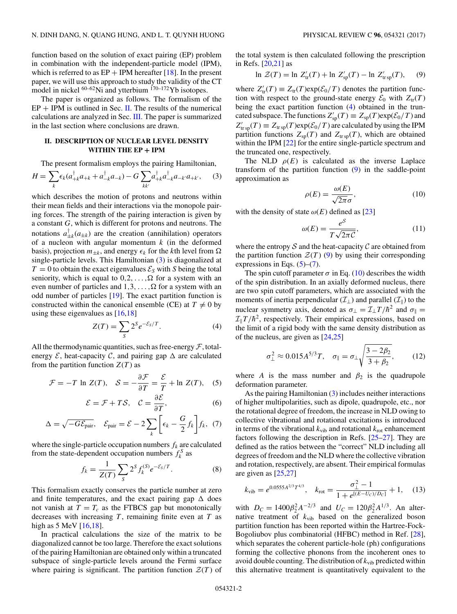<span id="page-1-0"></span>function based on the solution of exact pairing (EP) problem in combination with the independent-particle model (IPM), which is referred to as  $EP + IPM$  hereafter [\[18\]](#page-9-0). In the present paper, we will use this approach to study the validity of the CT model in nickel  $^{60-62}$ Ni and ytterbium  $^{170-172}$ Yb isotopes.

The paper is organized as follows. The formalism of the  $EP + IPM$  is outlined in Sec. II. The results of the numerical calculations are analyzed in Sec. [III.](#page-2-0) The paper is summarized in the last section where conclusions are drawn.

### **II. DESCRIPTION OF NUCLEAR LEVEL DENSITY WITHIN THE EP + IPM**

The present formalism employs the pairing Hamiltonian,

$$
H = \sum_{k} \epsilon_{k} (a_{+k}^{\dagger} a_{+k} + a_{-k}^{\dagger} a_{-k}) - G \sum_{kk'} a_{+k}^{\dagger} a_{-k}^{\dagger} a_{-k'} a_{+k'}, \quad (3)
$$

which describes the motion of protons and neutrons within their mean fields and their interactions via the monopole pairing forces. The strength of the pairing interaction is given by a constant G, which is different for protons and neutrons. The notations  $a_{\pm k}^{\dagger}(a_{\pm k})$  are the creation (annihilation) operators of a nucleon with angular momentum  $k$  (in the deformed basis), projection  $m_{\pm k}$ , and energy  $\epsilon_k$  for the kth level from  $\Omega$ single-particle levels. This Hamiltonian (3) is diagonalized at  $T = 0$  to obtain the exact eigenvalues  $\mathcal{E}_S$  with S being the total seniority, which is equal to  $0, 2, \ldots, \Omega$  for a system with an even number of particles and  $1, 3, \ldots, \Omega$  for a system with an odd number of particles [\[19\]](#page-9-0). The exact partition function is constructed within the canonical ensemble (CE) at  $T \neq 0$  by using these eigenvalues as  $[16,18]$ 

$$
Z(T) = \sum_{S} 2^{S} e^{-\mathcal{E}_{S}/T}.
$$
 (4)

All the thermodynamic quantities, such as free-energy  $\mathcal{F}$ , totalenergy  $\mathcal{E}$ , heat-capacity  $\mathcal{C}$ , and pairing gap  $\Delta$  are calculated from the partition function  $Z(T)$  as

$$
\mathcal{F} = -T \ln Z(T), \quad \mathcal{S} = -\frac{\partial \mathcal{F}}{\partial T} = \frac{\mathcal{E}}{T} + \ln Z(T), \quad (5)
$$

$$
\mathcal{E} = \mathcal{F} + T\mathcal{S}, \quad \mathcal{C} = \frac{\partial \mathcal{E}}{\partial T}, \tag{6}
$$

$$
\Delta = \sqrt{-G\mathcal{E}_{\text{pair}}}, \quad \mathcal{E}_{\text{pair}} = \mathcal{E} - 2\sum_{k} \left[\epsilon_{k} - \frac{G}{2}f_{k}\right]f_{k}, \tag{7}
$$

where the single-particle occupation numbers  $f_k$  are calculated from the state-dependent occupation numbers  $f_k^S$  as

$$
f_k = \frac{1}{Z(T)} \sum_{S} 2^S f_k^{(S)} e^{-\mathcal{E}_S/T}.
$$
 (8)

This formalism exactly conserves the particle number at zero and finite temperatures, and the exact pairing gap  $\Delta$  does not vanish at  $T = T_c$  as the FTBCS gap but monotonically decreases with increasing  $T$ , remaining finite even at  $T$  as high as  $5 \text{ MeV}$  [\[16,18\]](#page-9-0).

In practical calculations the size of the matrix to be diagonalized cannot be too large. Therefore the exact solutions of the pairing Hamiltonian are obtained only within a truncated subspace of single-particle levels around the Fermi surface where pairing is significant. The partition function  $\mathcal{Z}(T)$  of

the total system is then calculated following the prescription in Refs. [\[20,21\]](#page-9-0) as

$$
\ln \mathcal{Z}(T) = \ln Z'_{tr}(T) + \ln Z'_{sp}(T) - \ln Z'_{trsp}(T), \quad (9)
$$

where  $Z'_{tr}(T) \equiv Z_{tr}(T) \exp(\mathcal{E}_0/T)$  denotes the partition function with respect to the ground-state energy  $\mathcal{E}_0$  with  $Z_{tr}(T)$ being the exact partition function (4) obtained in the truncated subspace. The functions  $Z'_{\rm sp}(T) \equiv Z_{\rm sp}(T) \exp(\mathcal{E}_0/T)$  and  $Z'_{\text{tr sp}}(T) \equiv Z_{\text{tr sp}}(T) \exp(\mathcal{E}_0/T)$  are calculated by using the IPM partition functions  $Z_{\text{sp}}(T)$  and  $Z_{\text{tr sp}}(T)$ , which are obtained within the IPM [\[22\]](#page-9-0) for the entire single-particle spectrum and the truncated one, respectively.

The NLD  $\rho(E)$  is calculated as the inverse Laplace transform of the partition function (9) in the saddle-point approximation as

$$
\rho(E) = \frac{\omega(E)}{\sqrt{2\pi}\sigma},\tag{10}
$$

with the density of state  $\omega(E)$  defined as [\[23\]](#page-9-0)

$$
\omega(E) = \frac{e^S}{T\sqrt{2\pi C}},\tag{11}
$$

where the entropy  $S$  and the heat-capacity  $C$  are obtained from the partition function  $\mathcal{Z}(T)$  (9) by using their corresponding expressions in Eqs.  $(5)-(7)$ .

The spin cutoff parameter  $\sigma$  in Eq. (10) describes the width of the spin distribution. In an axially deformed nucleus, there are two spin cutoff parameters, which are associated with the moments of inertia perpendicular ( $\mathcal{I}_{\perp}$ ) and parallel ( $\mathcal{I}_{\parallel}$ ) to the nuclear symmetry axis, denoted as  $\sigma_{\perp} = \mathcal{I}_{\perp} T / \hbar^2$  and  $\sigma_{\parallel} =$  $\mathcal{I}_{\parallel}T/\hbar^2$ , respectively. Their empirical expressions, based on the limit of a rigid body with the same density distribution as of the nucleus, are given as [\[24,25\]](#page-9-0)

$$
\sigma_{\perp}^2 \approx 0.015 A^{5/3} T, \quad \sigma_{\parallel} = \sigma_{\perp} \sqrt{\frac{3 - 2\beta_2}{3 + \beta_2}}, \quad (12)
$$

where A is the mass number and  $\beta_2$  is the quadrupole deformation parameter.

As the pairing Hamiltonian (3) includes neither interactions of higher multipolarities, such as dipole, quadrupole, etc., nor the rotational degree of freedom, the increase in NLD owing to collective vibrational and rotational excitations is introduced in terms of the vibrational  $k_{\text{vib}}$  and rotational  $k_{\text{rot}}$  enhancement factors following the description in Refs. [\[25–27\]](#page-9-0). They are defined as the ratios between the "correct" NLD including all degrees of freedom and the NLD where the collective vibration and rotation, respectively, are absent. Their empirical formulas are given as [\[25,27\]](#page-9-0)

$$
k_{\rm vib} = e^{0.0555A^{2/3}T^{4/3}}, \quad k_{\rm rot} = \frac{\sigma_{\perp}^2 - 1}{1 + e^{[(E - U_C)/D_C]}} + 1, \quad (13)
$$

with  $D_C = 1400\beta_2^2 A^{-2/3}$  and  $U_C = 120\beta_2^2 A^{1/3}$ . An alternative treatment of  $k_{vib}$  based on the generalized boson partition function has been reported within the Hartree-Fock-Bogoliubov plus combinatorial (HFBC) method in Ref. [\[28\]](#page-9-0), which separates the coherent particle-hole (ph) configurations forming the collective phonons from the incoherent ones to avoid double counting. The distribution of  $k_{vib}$  predicted within this alternative treatment is quantitatively equivalent to the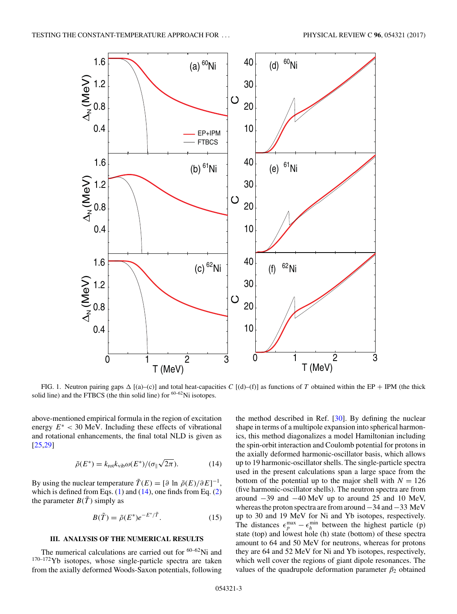<span id="page-2-0"></span>

FIG. 1. Neutron pairing gaps  $\Delta$  [(a)–(c)] and total heat-capacities C [(d)–(f)] as functions of T obtained within the EP + IPM (the thick solid line) and the FTBCS (the thin solid line) for  $60-62$ Ni isotopes.

above-mentioned empirical formula in the region of excitation energy  $E^*$  < 30 MeV. Including these effects of vibrational and rotational enhancements, the final total NLD is given as [\[25,29\]](#page-9-0)

$$
\tilde{\rho}(E^*) = k_{\text{rot}} k_{\text{vib}} \omega(E^*) / (\sigma_{\parallel} \sqrt{2\pi}). \tag{14}
$$

By using the nuclear temperature  $\tilde{T}(E) = [\partial \ln \tilde{\rho}(E)/\partial E]^{-1}$ , which is defined from Eqs.  $(1)$  and  $(14)$ , one finds from Eq.  $(2)$ the parameter  $B(\tilde{T})$  simply as

$$
B(\tilde{T}) = \tilde{\rho}(E^*)e^{-E^*/\tilde{T}}.
$$
\n(15)

## **III. ANALYSIS OF THE NUMERICAL RESULTS**

The numerical calculations are carried out for  $60-62$ Ni and <sup>170–172</sup>Yb isotopes, whose single-particle spectra are taken from the axially deformed Woods-Saxon potentials, following

the method described in Ref. [\[30\]](#page-9-0). By defining the nuclear shape in terms of a multipole expansion into spherical harmonics, this method diagonalizes a model Hamiltonian including the spin-orbit interaction and Coulomb potential for protons in the axially deformed harmonic-oscillator basis, which allows up to 19 harmonic-oscillator shells. The single-particle spectra used in the present calculations span a large space from the bottom of the potential up to the major shell with  $N = 126$ (five harmonic-oscillator shells). The neutron spectra are from around −39 and −40 MeV up to around 25 and 10 MeV, whereas the proton spectra are from around−34 and−33 MeV up to 30 and 19 MeV for Ni and Yb isotopes, respectively. The distances  $\epsilon_p^{\max} - \epsilon_h^{\min}$  between the highest particle (p) state (top) and lowest hole (h) state (bottom) of these spectra amount to 64 and 50 MeV for neutrons, whereas for protons they are 64 and 52 MeV for Ni and Yb isotopes, respectively, which well cover the regions of giant dipole resonances. The values of the quadrupole deformation parameter  $\beta_2$  obtained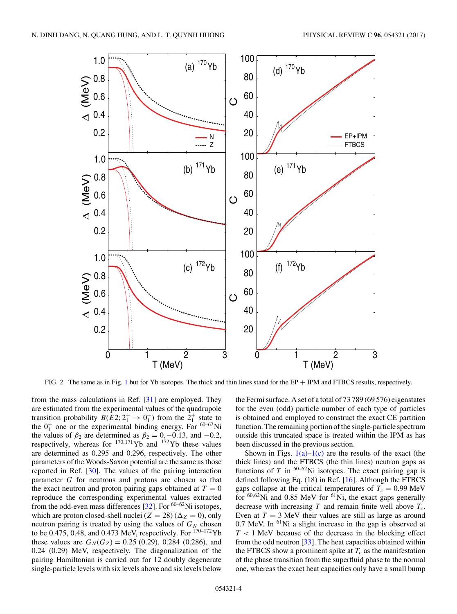<span id="page-3-0"></span>

FIG. 2. The same as in Fig. [1](#page-2-0) but for Yb isotopes. The thick and thin lines stand for the EP + IPM and FTBCS results, respectively.

from the mass calculations in Ref. [\[31\]](#page-9-0) are employed. They are estimated from the experimental values of the quadrupole transition probability  $B(E2; 2^+_1 \rightarrow 0^+_1)$  from the  $2^+_1$  state to the  $0^{+}$  one or the experimental binding energy. For <sup>60–62</sup>Ni the values of  $\beta_2$  are determined as  $\beta_2 = 0, -0.13$ , and  $-0.2$ , respectively, whereas for  $^{170,171}$ Yb and  $^{172}$ Yb these values are determined as 0.295 and 0.296, respectively. The other parameters of the Woods-Saxon potential are the same as those reported in Ref. [\[30\]](#page-9-0). The values of the pairing interaction parameter G for neutrons and protons are chosen so that the exact neutron and proton pairing gaps obtained at  $T = 0$ reproduce the corresponding experimental values extracted from the odd-even mass differences [\[32\]](#page-9-0). For  $60-62$ Ni isotopes, which are proton closed-shell nuclei ( $Z = 28$ ) ( $\Delta_Z = 0$ ), only neutron pairing is treated by using the values of  $G_N$  chosen to be 0.475, 0.48, and 0.473 MeV, respectively. For  $170-172$  Yb these values are  $G_N(G_Z) = 0.25$  (0.29), 0.284 (0.286), and 0.24 (0.29) MeV, respectively. The diagonalization of the pairing Hamiltonian is carried out for 12 doubly degenerate single-particle levels with six levels above and six levels below

the Fermi surface. A set of a total of 73 789 (69 576) eigenstates for the even (odd) particle number of each type of particles is obtained and employed to construct the exact CE partition function. The remaining portion of the single-particle spectrum outside this truncated space is treated within the IPM as has been discussed in the previous section.

Shown in Figs.  $1(a)-1(c)$  are the results of the exact (the thick lines) and the FTBCS (the thin lines) neutron gaps as functions of T in  $60-62$ Ni isotopes. The exact pairing gap is defined following Eq. (18) in Ref. [\[16\]](#page-9-0). Although the FTBCS gaps collapse at the critical temperatures of  $T_c = 0.99$  MeV for  $60,62$ Ni and 0.85 MeV for  $61$ Ni, the exact gaps generally decrease with increasing  $T$  and remain finite well above  $T_c$ . Even at  $T = 3$  MeV their values are still as large as around  $0.7$  MeV. In  $<sup>61</sup>Ni$  a slight increase in the gap is observed at</sup>  $T < 1$  MeV because of the decrease in the blocking effect from the odd neutron  $[33]$ . The heat capacities obtained within the FTBCS show a prominent spike at  $T_c$  as the manifestation of the phase transition from the superfluid phase to the normal one, whereas the exact heat capacities only have a small bump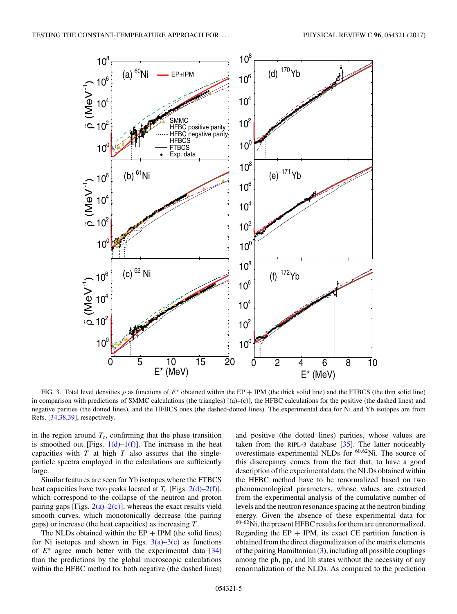<span id="page-4-0"></span>

FIG. 3. Total level densities  $\rho$  as functions of  $E^*$  obtained within the EP + IPM (the thick solid line) and the FTBCS (the thin solid line) in comparison with predictions of SMMC calculations (the triangles) [(a)–(c)], the HFBC calculations for the positive (the dashed lines) and negative parities (the dotted lines), and the HFBCS ones (the dashed-dotted lines). The experimental data for Ni and Yb isotopes are from Refs. [\[34,38,39\]](#page-9-0), resepctively.

in the region around  $T_c$ , confirming that the phase transition is smoothed out [Figs.  $1(d) - 1(f)$ ]. The increase in the heat capacities with  $T$  at high  $T$  also assures that the singleparticle spectra employed in the calculations are sufficiently large.

Similar features are seen for Yb isotopes where the FTBCS heat capacities have two peaks located at  $T_c$  [Figs. [2\(d\)–2\(f\)\]](#page-3-0), which correspond to the collapse of the neutron and proton pairing gaps [Figs.  $2(a)-2(c)$ ], whereas the exact results yield smooth curves, which monotonically decrease (the pairing gaps) or increase (the heat capacities) as increasing T .

The NLDs obtained within the  $EP + IPM$  (the solid lines) for Ni isotopes and shown in Figs.  $3(a)-3(c)$  as functions of  $E^*$  agree much better with the experimental data [\[34\]](#page-9-0) than the predictions by the global microscopic calculations within the HFBC method for both negative (the dashed lines) and positive (the dotted lines) parities, whose values are taken from the RIPL-3 database [\[35\]](#page-9-0). The latter noticeably overestimate experimental NLDs for <sup>60</sup>,62Ni. The source of this discrepancy comes from the fact that, to have a good description of the experimental data, the NLDs obtained within the HFBC method have to be renormalized based on two phenomenological parameters, whose values are extracted from the experimental analysis of the cumulative number of levels and the neutron resonance spacing at the neutron binding energy. Given the absence of these experimental data for  $60-62$ Ni, the present HFBC results for them are unrenormalized. Regarding the  $EP + IPM$ , its exact CE partition function is obtained from the direct diagonalization of the matrix elements of the pairing Hamiltonian [\(3\)](#page-1-0), including all possible couplings among the ph, pp, and hh states without the necessity of any renormalization of the NLDs. As compared to the prediction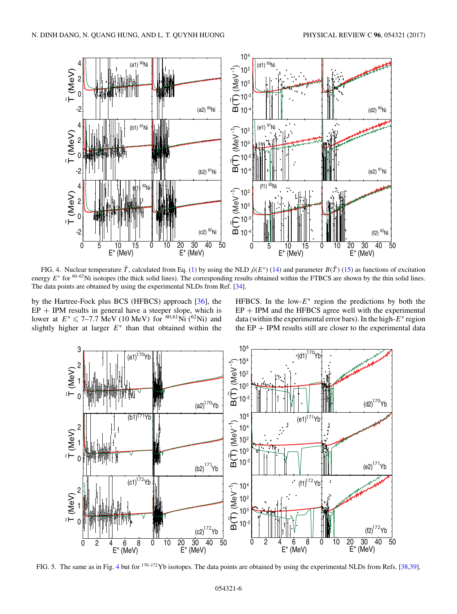<span id="page-5-0"></span>

FIG. 4. Nuclear temperature  $\tilde{T}$ , calculated from Eq. [\(1\)](#page-0-0) by using the NLD  $\tilde{\rho}(E^*)$  [\(14\)](#page-2-0) and parameter  $B(\tilde{T})$  [\(15\)](#page-2-0) as functions of excitation energy  $E^*$  for  $60-62$ Ni isotopes (the thick solid lines). The corresponding results obtained within the FTBCS are shown by the thin solid lines. The data points are obtained by using the experimental NLDs from Ref. [\[34\]](#page-9-0).

by the Hartree-Fock plus BCS (HFBCS) approach [\[36\]](#page-9-0), the  $EP + IPM$  results in general have a steeper slope, which is lower at  $E^* \le 7-7.7$  MeV (10 MeV) for <sup>60,61</sup>Ni (<sup>62</sup>Ni) and slightly higher at larger  $E^*$  than that obtained within the

HFBCS. In the low- $E^*$  region the predictions by both the  $EP + IPM$  and the HFBCS agree well with the experimental data (within the experimental error bars). In the high- $E^*$  region the  $EP + IPM$  results still are closer to the experimental data



FIG. 5. The same as in Fig. 4 but for 170–172Yb isotopes. The data points are obtained by using the experimental NLDs from Refs. [\[38,39\]](#page-9-0).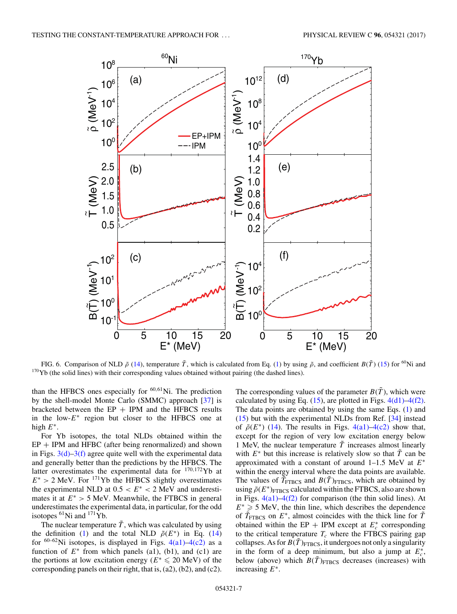<span id="page-6-0"></span>

FIG. 6. Comparison of NLD  $\tilde{\rho}$  [\(14\)](#page-2-0), temperature  $\tilde{T}$ , which is calculated from Eq. [\(1\)](#page-0-0) by using  $\tilde{\rho}$ , and coefficient  $B(\tilde{T})$  [\(15\)](#page-2-0) for <sup>60</sup>Ni and <sup>170</sup>Yb (the solid lines) with their corresponding values obtained without pairing (the dashed lines).

than the HFBCS ones especially for  $60,61$ Ni. The prediction by the shell-model Monte Carlo (SMMC) approach [\[37\]](#page-9-0) is bracketed between the  $EP + IPM$  and the HFBCS results in the low- $E^*$  region but closer to the HFBCS one at high  $E^*$ .

For Yb isotopes, the total NLDs obtained within the  $EP + IPM$  and HFBC (after being renormalized) and shown in Figs.  $3(d)$ – $3(f)$  agree quite well with the experimental data and generally better than the predictions by the HFBCS. The latter overestimates the experimental data for  $170,172$  Yb at  $E^* > 2$  MeV. For <sup>171</sup>Yb the HFBCS slightly overestimates the experimental NLD at  $0.5 < E^* < 2$  MeV and underestimates it at  $E^* > 5$  MeV. Meanwhile, the FTBCS in general underestimates the experimental data, in particular, for the odd isotopes  ${}^{61}$ Ni and  ${}^{171}$ Yb.

The nuclear temperature  $\tilde{T}$ , which was calculated by using the definition [\(1\)](#page-0-0) and the total NLD  $\tilde{\rho}(E^*)$  in Eq. [\(14\)](#page-2-0) for  $60-62$ Ni isotopes, is displayed in Figs.  $4(a1)$ –4(c2) as a function of  $E^*$  from which panels (a1), (b1), and (c1) are the portions at low excitation energy ( $E^* \le 20$  MeV) of the corresponding panels on their right, that is, (a2), (b2), and (c2).

The corresponding values of the parameter  $B(\tilde{T})$ , which were calculated by using Eq.  $(15)$ , are plotted in Figs.  $4(d1) - 4(f2)$ . The data points are obtained by using the same Eqs. [\(1\)](#page-0-0) and [\(15\)](#page-2-0) but with the experimental NLDs from Ref. [\[34\]](#page-9-0) instead of  $\tilde{\rho}(E^*)$  [\(14\)](#page-2-0). The results in Figs. [4\(a1\)–4\(c2\)](#page-5-0) show that, except for the region of very low excitation energy below 1 MeV, the nuclear temperature  $\tilde{T}$  increases almost linearly with  $E^*$  but this increase is relatively slow so that  $\tilde{T}$  can be approximated with a constant of around 1–1.5 MeV at  $E^*$ within the energy interval where the data points are available. The values of  $\tilde{T}_{\text{FTBCS}}$  and  $B(\tilde{T})_{\text{FTBCS}}$ , which are obtained by using  $\tilde{\rho}(E^*)$ <sub>FTBCS</sub> calculated within the FTBCS, also are shown in Figs.  $4(a1)$ – $4(f2)$  for comparison (the thin solid lines). At  $E^* \geq 5$  MeV, the thin line, which describes the dependence of  $\tilde{T}_{\text{FTBCS}}$  on  $E^*$ , almost coincides with the thick line for  $\tilde{T}$ obtained within the EP + IPM except at  $E_c^*$  corresponding to the critical temperature  $T_c$  where the FTBCS pairing gap collapses. As for  $B(T)_{\text{FTBCS}}$ , it undergoes not only a singularity in the form of a deep minimum, but also a jump at  $E_c^*$ , below (above) which  $B(\tilde{T})_{\text{FTBCS}}$  decreases (increases) with increasing  $E^*$ .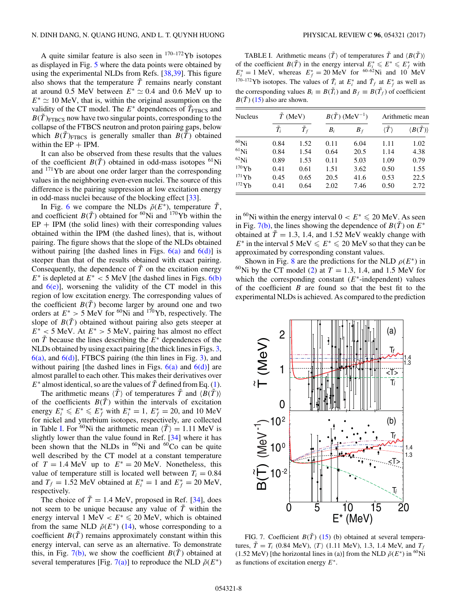A quite similar feature is also seen in  $170-172$  Yb isotopes as displayed in Fig. [5](#page-5-0) where the data points were obtained by using the experimental NLDs from Refs. [\[38,39\]](#page-9-0). This figure also shows that the temperature  $\tilde{T}$  remains nearly constant at around 0.5 MeV between  $E^* \simeq 0.4$  and 0.6 MeV up to  $E^* \simeq 10$  MeV, that is, within the original assumption on the validity of the CT model. The  $E^*$  dependences of  $\tilde{T}_{\text{FTBCS}}$  and  $B(T)_{\text{FTBCS}}$  now have two singular points, corresponding to the collapse of the FTBCS neutron and proton pairing gaps, below which  $B(\tilde{T})_{\text{FTBCS}}$  is generally smaller than  $B(\tilde{T})$  obtained within the  $EP + IPM$ .

It can also be observed from these results that the values of the coefficient  $B(\tilde{T})$  obtained in odd-mass isotopes <sup>61</sup>Ni and 171Yb are about one order larger than the corresponding values in the neighboring even-even nuclei. The source of this difference is the pairing suppression at low excitation energy in odd-mass nuclei because of the blocking effect [\[33\]](#page-9-0).

In Fig. [6](#page-6-0) we compare the NLDs  $\tilde{\rho}(E^*)$ , temperature  $\tilde{T}$ , and coefficient  $B(\tilde{T})$  obtained for <sup>60</sup>Ni and <sup>170</sup>Yb within the  $EP + IPM$  (the solid lines) with their corresponding values obtained within the IPM (the dashed lines), that is, without pairing. The figure shows that the slope of the NLDs obtained without pairing [the dashed lines in Figs.  $6(a)$  and  $6(d)$ ] is steeper than that of the results obtained with exact pairing. Consequently, the dependence of  $\tilde{T}$  on the excitation energy  $E^*$  is depleted at  $E^*$  < 5 MeV [the dashed lines in Figs. [6\(b\)](#page-6-0) and  $6(e)$ , worsening the validity of the CT model in this region of low excitation energy. The corresponding values of the coefficient  $B(\tilde{T})$  become larger by around one and two orders at  $E^* > 5$  MeV for <sup>60</sup>Ni and <sup>170</sup>Yb, respectively. The slope of  $B(\tilde{T})$  obtained without pairing also gets steeper at  $E^*$  < 5 MeV. At  $E^*$  > 5 MeV, pairing has almost no effect on  $\tilde{T}$  because the lines describing the  $E^*$  dependences of the NLDs obtained by using exact pairing [the thick lines in Figs. [3,](#page-4-0)  $6(a)$ , and  $6(d)$ ], FTBCS pairing (the thin lines in Fig. [3\)](#page-4-0), and without pairing [the dashed lines in Figs.  $6(a)$  and  $6(d)$ ] are almost parallel to each other. This makes their derivatives over  $E^*$  almost identical, so are the values of  $\tilde{T}$  defined from Eq. [\(1\)](#page-0-0).

The arithmetic means  $\langle \tilde{T} \rangle$  of temperatures  $\tilde{T}$  and  $\langle B(\tilde{T}) \rangle$ of the coefficients  $B(\tilde{T})$  within the intervals of excitation energy  $E_i^* \leq E^* \leq E_f^*$  with  $E_i^* = 1$ ,  $E_f^* = 20$ , and 10 MeV for nickel and ytterbium isotopes, respectively, are collected in Table I. For <sup>60</sup>Ni the arithmetic mean  $\langle \tilde{T} \rangle = 1.11$  MeV is slightly lower than the value found in Ref. [\[34\]](#page-9-0) where it has been shown that the NLDs in  $^{60}$ Ni and  $^{60}$ Co can be quite well described by the CT model at a constant temperature of  $T = 1.4$  MeV up to  $E^* = 20$  MeV. Nonetheless, this value of temperature still is located well between  $T_i = 0.84$ and  $T_f = 1.52$  MeV obtained at  $E_i^* = 1$  and  $E_f^* = 20$  MeV, respectively.

The choice of  $\tilde{T} = 1.4$  MeV, proposed in Ref. [\[34\]](#page-9-0), does not seem to be unique because any value of  $\overline{T}$  within the energy interval  $1 \text{ MeV} < E^* \leqslant 20 \text{ MeV}$ , which is obtained from the same NLD  $\tilde{\rho}(E^*)$  [\(14\)](#page-2-0), whose corresponding to a coefficient  $B(\tilde{T})$  remains approximately constant within this energy interval, can serve as an alternative. To demonstrate this, in Fig. 7(b), we show the coefficient  $B(\tilde{T})$  obtained at several temperatures [Fig. 7(a)] to reproduce the NLD  $\tilde{\rho}(E^*)$ 

TABLE I. Arithmetic means  $\langle \tilde{T} \rangle$  of temperatures  $\tilde{T}$  and  $\langle B(\tilde{T}) \rangle$ of the coefficient  $B(\tilde{T})$  in the energy interval  $E_i^* \leqslant E^* \leqslant E_f^*$  with  $E_i^* = 1$  MeV, whereas  $E_f^* = 20$  MeV for <sup>60–62</sup>Ni and 10 MeV <sup>170–172</sup>Yb isotopes. The values of  $\tilde{T}_i$  at  $E_i^*$  and  $\tilde{T}_f$  at  $E_f^*$  as well as the corresponding values  $B_i \equiv B(\tilde{T}_i)$  and  $B_f \equiv B(\tilde{T}_f)$  of coefficient  $B(\tilde{T})$  [\(15\)](#page-2-0) also are shown.

| <b>Nucleus</b> | $\tilde{T}$ (MeV) |       | $B(\tilde{T})$ (MeV <sup>-1</sup> ) |       | Arithmetic mean |                              |
|----------------|-------------------|-------|-------------------------------------|-------|-----------------|------------------------------|
|                | $T_i$             | $T_f$ | $B_i$                               | $B_f$ |                 | $\langle B(\tilde T)\rangle$ |
| $60$ Ni        | 0.84              | 1.52  | 0.11                                | 6.04  | 1.11            | 1.02                         |
| ${}^{61}$ Ni   | 0.84              | 1.54  | 0.64                                | 20.5  | 1.14            | 4.38                         |
| $62$ Ni        | 0.89              | 1.53  | 0.11                                | 5.03  | 1.09            | 0.79                         |
| 170Yb          | 0.41              | 0.61  | 1.51                                | 3.62  | 0.50            | 1.55                         |
| 171Yb          | 0.45              | 0.65  | 20.5                                | 41.6  | 0.53            | 22.5                         |
| $172$ Yb       | 0.41              | 0.64  | 2.02                                | 7.46  | 0.50            | 2.72                         |

in <sup>60</sup>Ni within the energy interval  $0 < E^* \le 20$  MeV. As seen in Fig. 7(b), the lines showing the dependence of  $B(\tilde{T})$  on  $E^*$ obtained at  $\tilde{T} = 1.3$ , 1.4, and 1.52 MeV weakly change with E<sup>\*</sup> in the interval 5 MeV  $\leq E^* \leq 20$  MeV so that they can be approximated by corresponding constant values.

Shown in Fig. [8](#page-8-0) are the predictions for the NLD  $\rho(E^*)$  in <sup>60</sup>Ni by the CT model [\(2\)](#page-0-0) at  $T = 1.3$ , 1.4, and 1.5 MeV for which the corresponding constant  $(E^*$ -independent) values of the coefficient  $B$  are found so that the best fit to the experimental NLDs is achieved. As compared to the prediction



FIG. 7. Coefficient  $B(\tilde{T})$  [\(15\)](#page-2-0) (b) obtained at several temperatures,  $\tilde{T} = T_i$  (0.84 MeV),  $\langle T \rangle$  (1.11 MeV), 1.3, 1.4 MeV, and  $T_f$ (1.52 MeV) [the horizontal lines in (a)] from the NLD  $\tilde{\rho}(E^*)$  in <sup>60</sup>Ni as functions of excitation energy  $E^*$ .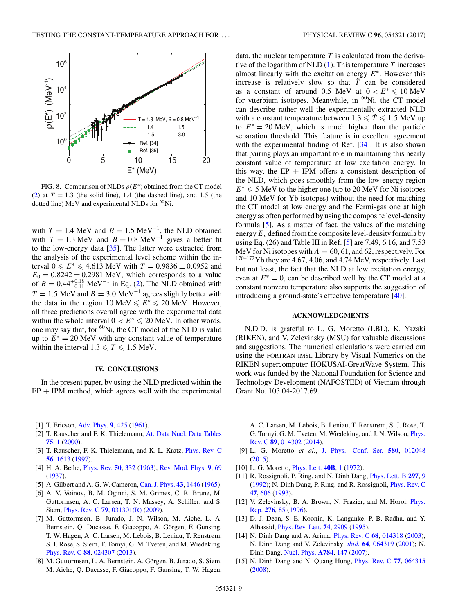<span id="page-8-0"></span>

FIG. 8. Comparison of NLDs  $\rho(E^*)$  obtained from the CT model [\(2\)](#page-0-0) at  $T = 1.3$  (the solid line), 1.4 (the dashed line), and 1.5 (the dotted line) MeV and experimental NLDs for <sup>60</sup>Ni.

with  $T = 1.4$  MeV and  $B = 1.5$  MeV<sup>-1</sup>, the NLD obtained with  $T = 1.3$  MeV and  $B = 0.8$  MeV<sup>-1</sup> gives a better fit to the low-energy data [\[35\]](#page-9-0). The latter were extracted from the analysis of the experimental level scheme within the interval  $0 \le E^* \le 4.613$  MeV with  $T = 0.9836 \pm 0.0952$  and  $E_0 = 0.8242 \pm 0.2981$  MeV, which corresponds to a value of  $B = 0.44^{+0.18}_{-0.11}$  MeV<sup>-1</sup> in Eq. [\(2\)](#page-0-0). The NLD obtained with  $T = 1.5$  MeV and  $B = 3.0$  MeV<sup>-1</sup> agrees slightly better with the data in the region  $10 \text{ MeV} \leq E^* \leq 20 \text{ MeV}$ . However, all three predictions overall agree with the experimental data within the whole interval  $0 < E^* \le 20$  MeV. In other words, one may say that, for  ${}^{60}$ Ni, the CT model of the NLD is valid up to  $E^* = 20$  MeV with any constant value of temperature within the interval  $1.3 \leq T \leq 1.5$  MeV.

#### **IV. CONCLUSIONS**

In the present paper, by using the NLD predicted within the  $EP + IPM$  method, which agrees well with the experimental

data, the nuclear temperature  $\tilde{T}$  is calculated from the deriva-tive of the logarithm of NLD [\(1\)](#page-0-0). This temperature  $\tilde{T}$  increases almost linearly with the excitation energy  $E^*$ . However this increase is relatively slow so that  $\tilde{T}$  can be considered as a constant of around 0.5 MeV at  $0 < E^* \le 10$  MeV for ytterbium isotopes. Meanwhile, in  ${}^{60}$ Ni, the CT model can describe rather well the experimentally extracted NLD with a constant temperature between  $1.3 \leq \tilde{T} \leq 1.5$  MeV up to  $E^* = 20$  MeV, which is much higher than the particle separation threshold. This feature is in excellent agreement with the experimental finding of Ref. [\[34\]](#page-9-0). It is also shown that pairing plays an important role in maintaining this nearly constant value of temperature at low excitation energy. In this way, the  $EP + IPM$  offers a consistent description of the NLD, which goes smoothly from the low-energy region  $E^* \leq 5$  MeV to the higher one (up to 20 MeV for Ni isotopes and 10 MeV for Yb isotopes) without the need for matching the CT model at low energy and the Fermi-gas one at high energy as often performed by using the composite level-density formula [5]. As a matter of fact, the values of the matching energy  $E_x$  defined from the composite level-density formula by using Eq. (26) and Table III in Ref. [5] are 7.49, 6.16, and 7.53 MeV for Ni isotopes with  $A = 60, 61,$  and 62, respectively. For  $170-172$  Yb they are 4.67, 4.06, and 4.74 MeV, respectively. Last but not least, the fact that the NLD at low excitation energy, even at  $E^* = 0$ , can be described well by the CT model at a constant nonzero temperature also supports the suggestion of introducing a ground-state's effective temperature [\[40\]](#page-9-0).

### **ACKNOWLEDGMENTS**

N.D.D. is grateful to L. G. Moretto (LBL), K. Yazaki (RIKEN), and V. Zelevinsky (MSU) for valuable discussions and suggestions. The numerical calculations were carried out using the FORTRAN IMSL Library by Visual Numerics on the RIKEN supercomputer HOKUSAI-GreatWave System. This work was funded by the National Foundation for Science and Technology Development (NAFOSTED) of Vietnam through Grant No. 103.04-2017.69.

- [1] T. Ericson, [Adv. Phys.](https://doi.org/10.1080/00018736000101239) **[9](https://doi.org/10.1080/00018736000101239)**, [425](https://doi.org/10.1080/00018736000101239) [\(1961\)](https://doi.org/10.1080/00018736000101239).
- [2] T. Rauscher and F. K. Thielemann, [At. Data Nucl. Data Tables](https://doi.org/10.1006/adnd.2000.0834) **[75](https://doi.org/10.1006/adnd.2000.0834)**, [1](https://doi.org/10.1006/adnd.2000.0834) [\(2000\)](https://doi.org/10.1006/adnd.2000.0834).
- [3] T. Rauscher, F. K. Thielemann, and K. L. Kratz, [Phys. Rev. C](https://doi.org/10.1103/PhysRevC.56.1613) **[56](https://doi.org/10.1103/PhysRevC.56.1613)**, [1613](https://doi.org/10.1103/PhysRevC.56.1613) [\(1997\)](https://doi.org/10.1103/PhysRevC.56.1613).
- [4] H. A. Bethe, [Phys. Rev.](https://doi.org/10.1103/PhysRev.50.332) **[50](https://doi.org/10.1103/PhysRev.50.332)**, [332](https://doi.org/10.1103/PhysRev.50.332) [\(1963\)](https://doi.org/10.1103/PhysRev.50.332); [Rev. Mod. Phys.](https://doi.org/10.1103/RevModPhys.9.69) **[9](https://doi.org/10.1103/RevModPhys.9.69)**, [69](https://doi.org/10.1103/RevModPhys.9.69) [\(1937\)](https://doi.org/10.1103/RevModPhys.9.69).
- [5] A. Gilbert and A. G. W. Cameron, [Can. J. Phys.](https://doi.org/10.1139/p65-139) **[43](https://doi.org/10.1139/p65-139)**, [1446](https://doi.org/10.1139/p65-139) [\(1965\)](https://doi.org/10.1139/p65-139).
- [6] A. V. Voinov, B. M. Oginni, S. M. Grimes, C. R. Brune, M. Guttormsen, A. C. Larsen, T. N. Massey, A. Schiller, and S. Siem, [Phys. Rev. C](https://doi.org/10.1103/PhysRevC.79.031301) **[79](https://doi.org/10.1103/PhysRevC.79.031301)**, [031301\(R\)](https://doi.org/10.1103/PhysRevC.79.031301) [\(2009\)](https://doi.org/10.1103/PhysRevC.79.031301).
- [7] M. Guttormsen, B. Jurado, J. N. Wilson, M. Aiche, L. A. Bernstein, Q. Ducasse, F. Giacoppo, A. Görgen, F. Gunsing, T. W. Hagen, A. C. Larsen, M. Lebois, B. Leniau, T. Renstrøm, S. J. Rose, S. Siem, T. Tornyi, G. M. Tveten, and M. Wiedeking, [Phys. Rev. C](https://doi.org/10.1103/PhysRevC.88.024307) **[88](https://doi.org/10.1103/PhysRevC.88.024307)**, [024307](https://doi.org/10.1103/PhysRevC.88.024307) [\(2013\)](https://doi.org/10.1103/PhysRevC.88.024307).
- [8] M. Guttormsen, L. A. Bernstein, A. Görgen, B. Jurado, S. Siem, M. Aiche, Q. Ducasse, F. Giacoppo, F. Gunsing, T. W. Hagen,

A. C. Larsen, M. Lebois, B. Leniau, T. Renstrøm, S. J. Rose, T. [G. Tornyi, G. M. Tveten, M. Wiedeking, and J. N. Wilson,](https://doi.org/10.1103/PhysRevC.89.014302) Phys. Rev. C **[89](https://doi.org/10.1103/PhysRevC.89.014302)**, [014302](https://doi.org/10.1103/PhysRevC.89.014302) [\(2014\)](https://doi.org/10.1103/PhysRevC.89.014302).

- [9] L. G. Moretto *et al.*, [J. Phys.: Conf. Ser.](https://doi.org/10.1088/1742-6596/580/1/012048) **[580](https://doi.org/10.1088/1742-6596/580/1/012048)**, [012048](https://doi.org/10.1088/1742-6596/580/1/012048) [\(2015\)](https://doi.org/10.1088/1742-6596/580/1/012048).
- [10] L. G. Moretto, [Phys. Lett.](https://doi.org/10.1016/0370-2693(72)90265-1) **[40B](https://doi.org/10.1016/0370-2693(72)90265-1)**, [1](https://doi.org/10.1016/0370-2693(72)90265-1) [\(1972\)](https://doi.org/10.1016/0370-2693(72)90265-1).
- [11] R. Rossignoli, P. Ring, and N. Dinh Dang, [Phys. Lett. B](https://doi.org/10.1016/0370-2693(92)91060-M) **[297](https://doi.org/10.1016/0370-2693(92)91060-M)**, [9](https://doi.org/10.1016/0370-2693(92)91060-M) [\(1992\)](https://doi.org/10.1016/0370-2693(92)91060-M); N. Dinh Dang, P. Ring, and R. Rossignoli, [Phys. Rev. C](https://doi.org/10.1103/PhysRevC.47.606) **[47](https://doi.org/10.1103/PhysRevC.47.606)**, [606](https://doi.org/10.1103/PhysRevC.47.606) [\(1993\)](https://doi.org/10.1103/PhysRevC.47.606).
- [12] [V. Zelevinsky, B. A. Brown, N. Frazier, and M. Horoi,](https://doi.org/10.1016/S0370-1573(96)00007-5) *Phys.* Rep. **[276](https://doi.org/10.1016/S0370-1573(96)00007-5)**, [85](https://doi.org/10.1016/S0370-1573(96)00007-5) [\(1996\)](https://doi.org/10.1016/S0370-1573(96)00007-5).
- [13] D. J. Dean, S. E. Koonin, K. Langanke, P. B. Radha, and Y. Alhassid, [Phys. Rev. Lett.](https://doi.org/10.1103/PhysRevLett.74.2909) **[74](https://doi.org/10.1103/PhysRevLett.74.2909)**, [2909](https://doi.org/10.1103/PhysRevLett.74.2909) [\(1995\)](https://doi.org/10.1103/PhysRevLett.74.2909).
- [14] N. Dinh Dang and A. Arima, [Phys. Rev. C](https://doi.org/10.1103/PhysRevC.68.014318) **[68](https://doi.org/10.1103/PhysRevC.68.014318)**, [014318](https://doi.org/10.1103/PhysRevC.68.014318) [\(2003\)](https://doi.org/10.1103/PhysRevC.68.014318); N. Dinh Dang and V. Zelevinsky, *[ibid.](https://doi.org/10.1103/PhysRevC.64.064319)* **[64](https://doi.org/10.1103/PhysRevC.64.064319)**, [064319](https://doi.org/10.1103/PhysRevC.64.064319) [\(2001\)](https://doi.org/10.1103/PhysRevC.64.064319); N. Dinh Dang, [Nucl. Phys.](https://doi.org/10.1016/j.nuclphysa.2006.11.075) **[A784](https://doi.org/10.1016/j.nuclphysa.2006.11.075)**, [147](https://doi.org/10.1016/j.nuclphysa.2006.11.075) [\(2007\)](https://doi.org/10.1016/j.nuclphysa.2006.11.075).
- [15] N. Dinh Dang and N. Quang Hung, [Phys. Rev. C](https://doi.org/10.1103/PhysRevC.77.064315) **[77](https://doi.org/10.1103/PhysRevC.77.064315)**, [064315](https://doi.org/10.1103/PhysRevC.77.064315) [\(2008\)](https://doi.org/10.1103/PhysRevC.77.064315).